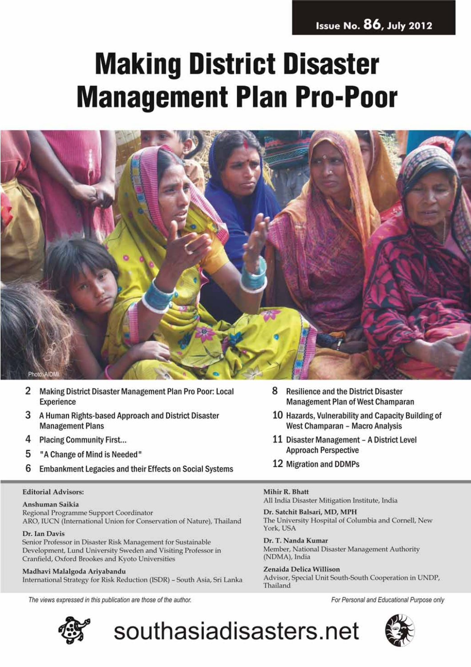### **Issue No. 86, July 2012**

# **Making District Disaster Management Plan Pro-Poor**



southasiadisasters.net

- 2 Making District Disaster Management Plan Pro Poor: Local Experience
- 3 A Human Rights-based Approach and District Disaster **Management Plans**
- 4 **Placing Community First...**
- 5 "A Change of Mind is Needed"
- 6 **Embankment Legacies and their Effects on Social Systems**

#### **Editorial Advisors:**

#### Anshuman Saikia

Regional Programme Support Coordinator ARO, IUCN (International Union for Conservation of Nature), Thailand

#### Dr. Ian Davis

Senior Professor in Disaster Risk Management for Sustainable Development, Lund University Sweden and Visiting Professor in Cranfield, Oxford Brookes and Kyoto Universities

Madhavi Malalgoda Ariyabandu International Strategy for Risk Reduction (ISDR) - South Asia, Sri Lanka

The views expressed in this publication are those of the author.



- 8 **Resilience and the District Disaster Management Plan of West Champaran**
- 10 Hazards, Vulnerability and Capacity Building of West Champaran - Macro Analysis
- 11 Disaster Management A District Level **Approach Perspective**
- 12 Migration and DDMPs

#### Mihir R. Bhatt

All India Disaster Mitigation Institute, India

Dr. Satchit Balsari, MD, MPH The University Hospital of Columbia and Cornell, New York, USA

Dr. T. Nanda Kumar Member, National Disaster Management Authority (NDMA), India

Zenaida Delica Willison Advisor, Special Unit South-South Cooperation in UNDP, Thailand

For Personal and Educational Purpose only

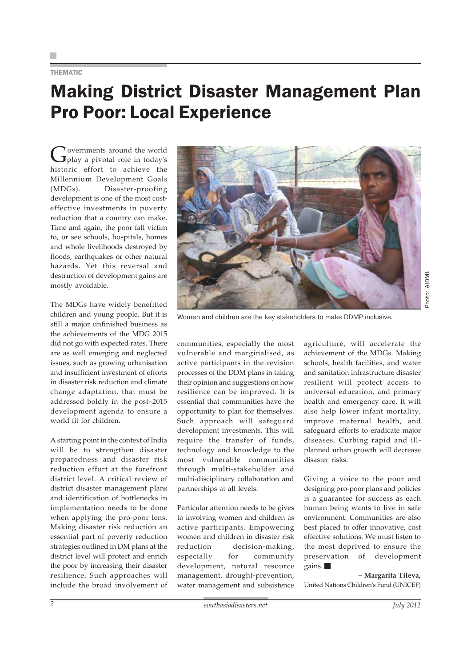#### THEMATIC

### Making District Disaster Management Plan Pro Poor: Local Experience

Governments around the world<br>
play a pivotal role in today's historic effort to achieve the Millennium Development Goals (MDGs). Disaster-proofing development is one of the most costeffective investments in poverty reduction that a country can make. Time and again, the poor fall victim to, or see schools, hospitals, homes and whole livelihoods destroyed by floods, earthquakes or other natural hazards. Yet this reversal and destruction of development gains are mostly avoidable.

The MDGs have widely benefitted children and young people. But it is still a major unfinished business as the achievements of the MDG 2015 did not go with expected rates. There are as well emerging and neglected issues, such as growing urbanisation and insufficient investment of efforts in disaster risk reduction and climate change adaptation, that must be addressed boldly in the post–2015 development agenda to ensure a world fit for children.

A starting point in the context of India will be to strengthen disaster preparedness and disaster risk reduction effort at the forefront district level. A critical review of district disaster management plans and identification of bottlenecks in implementation needs to be done when applying the pro-poor lens. Making disaster risk reduction an essential part of poverty reduction strategies outlined in DM plans at the district level will protect and enrich the poor by increasing their disaster resilience. Such approaches will include the broad involvement of



Women and children are the key stakeholders to make DDMP inclusive.

communities, especially the most vulnerable and marginalised, as active participants in the revision processes of the DDM plans in taking their opinion and suggestions on how resilience can be improved. It is essential that communities have the opportunity to plan for themselves. Such approach will safeguard development investments. This will require the transfer of funds, technology and knowledge to the most vulnerable communities through multi-stakeholder and multi-disciplinary collaboration and partnerships at all levels.

Particular attention needs to be gives to involving women and children as active participants. Empowering women and children in disaster risk reduction decision-making, especially for community development, natural resource management, drought-prevention, water management and subsistence agriculture, will accelerate the achievement of the MDGs. Making schools, health facilities, and water and sanitation infrastructure disaster resilient will protect access to universal education, and primary health and emergency care. It will also help lower infant mortality, improve maternal health, and safeguard efforts to eradicate major diseases. Curbing rapid and illplanned urban growth will decrease disaster risks.

Giving a voice to the poor and designing pro-poor plans and policies is a guarantee for success as each human being wants to live in safe environment. Communities are also best placed to offer innovative, cost effective solutions. We must listen to the most deprived to ensure the preservation of development gains.

**– Margarita Tileva,** United Nations Children's Fund (UNICEF)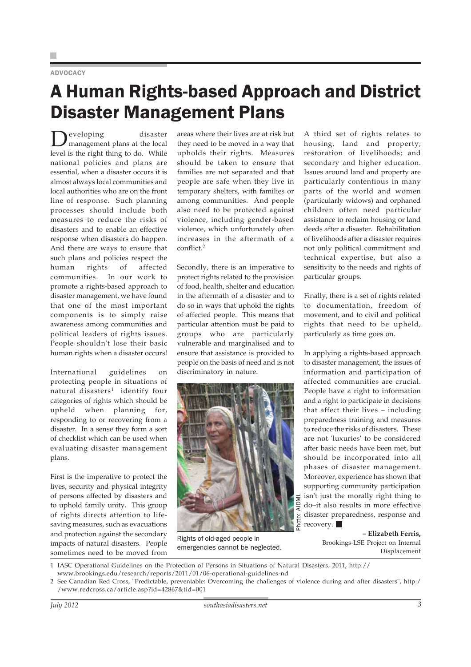### ADVOCACY

### A Human Rights-based Approach and District Disaster Management Plans

Developing disaster<br>management plans at the local level is the right thing to do. While national policies and plans are essential, when a disaster occurs it is almost always local communities and local authorities who are on the front line of response. Such planning processes should include both measures to reduce the risks of disasters and to enable an effective response when disasters do happen. And there are ways to ensure that such plans and policies respect the human rights of affected communities. In our work to promote a rights-based approach to disaster management, we have found that one of the most important components is to simply raise awareness among communities and political leaders of rights issues. People shouldn't lose their basic human rights when a disaster occurs!

International guidelines on protecting people in situations of natural disasters<sup>1</sup> identify four categories of rights which should be upheld when planning for, responding to or recovering from a disaster. In a sense they form a sort of checklist which can be used when evaluating disaster management plans.

First is the imperative to protect the lives, security and physical integrity of persons affected by disasters and to uphold family unity. This group of rights directs attention to lifesaving measures, such as evacuations and protection against the secondary impacts of natural disasters. People sometimes need to be moved from

areas where their lives are at risk but they need to be moved in a way that upholds their rights. Measures should be taken to ensure that families are not separated and that people are safe when they live in temporary shelters, with families or among communities. And people also need to be protected against violence, including gender-based violence, which unfortunately often increases in the aftermath of a conflict.<sup>2</sup>

Secondly, there is an imperative to protect rights related to the provision of food, health, shelter and education in the aftermath of a disaster and to do so in ways that uphold the rights of affected people. This means that particular attention must be paid to groups who are particularly vulnerable and marginalised and to ensure that assistance is provided to people on the basis of need and is not discriminatory in nature.



Rights of old-aged people in emergencies cannot be neglected.

A third set of rights relates to housing, land and property; restoration of livelihoods; and secondary and higher education. Issues around land and property are particularly contentious in many parts of the world and women (particularly widows) and orphaned children often need particular assistance to reclaim housing or land deeds after a disaster. Rehabilitation of livelihoods after a disaster requires not only political commitment and technical expertise, but also a sensitivity to the needs and rights of particular groups.

Finally, there is a set of rights related to documentation, freedom of movement, and to civil and political rights that need to be upheld, particularly as time goes on.

In applying a rights-based approach to disaster management, the issues of information and participation of affected communities are crucial. People have a right to information and a right to participate in decisions that affect their lives – including preparedness training and measures to reduce the risks of disasters. These are not 'luxuries' to be considered after basic needs have been met, but should be incorporated into all phases of disaster management. Moreover, experience has shown that supporting community participation isn't just the morally right thing to do–it also results in more effective disaster preparedness, response and recovery.

> **– Elizabeth Ferris,** Brookings-LSE Project on Internal Displacement

1 IASC Operational Guidelines on the Protection of Persons in Situations of Natural Disasters, 2011, http:// www.brookings.edu/research/reports/2011/01/06-operational-guidelines-nd

<sup>2</sup> See Canadian Red Cross, "Predictable, preventable: Overcoming the challenges of violence during and after disasters", http:/ /www.redcross.ca/article.asp?id=42867&tid=001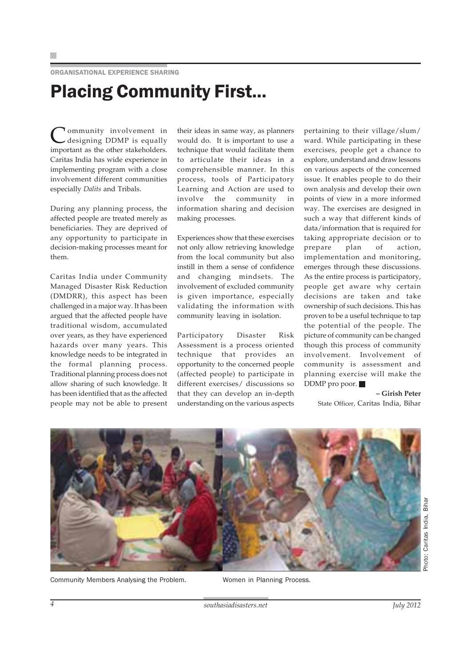ORGANISATIONAL EXPERIENCE SHARING

## Placing Community First...

Community involvement in designing DDMP is equally important as the other stakeholders. Caritas India has wide experience in implementing program with a close involvement different communities especially *Dalits* and Tribals.

During any planning process, the affected people are treated merely as beneficiaries. They are deprived of any opportunity to participate in decision-making processes meant for them.

Caritas India under Community Managed Disaster Risk Reduction (DMDRR), this aspect has been challenged in a major way. It has been argued that the affected people have traditional wisdom, accumulated over years, as they have experienced hazards over many years. This knowledge needs to be integrated in the formal planning process. Traditional planning process does not allow sharing of such knowledge. It has been identified that as the affected people may not be able to present

their ideas in same way, as planners would do. It is important to use a technique that would facilitate them to articulate their ideas in a comprehensible manner. In this process, tools of Participatory Learning and Action are used to involve the community in information sharing and decision making processes.

Experiences show that these exercises not only allow retrieving knowledge from the local community but also instill in them a sense of confidence and changing mindsets. The involvement of excluded community is given importance, especially validating the information with community leaving in isolation.

Participatory Disaster Risk Assessment is a process oriented technique that provides an opportunity to the concerned people (affected people) to participate in different exercises/ discussions so that they can develop an in-depth understanding on the various aspects

pertaining to their village/slum/ ward. While participating in these exercises, people get a chance to explore, understand and draw lessons on various aspects of the concerned issue. It enables people to do their own analysis and develop their own points of view in a more informed way. The exercises are designed in such a way that different kinds of data/information that is required for taking appropriate decision or to prepare plan of action, implementation and monitoring, emerges through these discussions. As the entire process is participatory, people get aware why certain decisions are taken and take ownership of such decisions. This has proven to be a useful technique to tap the potential of the people. The picture of community can be changed though this process of community involvement. Involvement of community is assessment and planning exercise will make the DDMP pro poor.

> **– Girish Peter** State Officer, Caritas India, Bihar

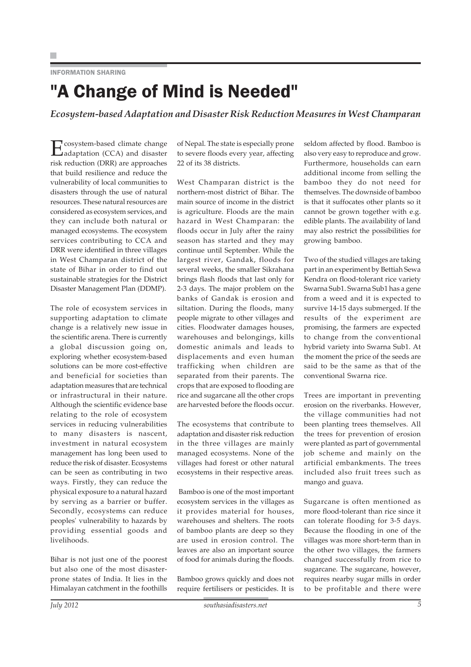INFORMATION SHARING

### "A Change of Mind is Needed"

*Ecosystem-based Adaptation and Disaster Risk Reduction Measures in West Champaran*

Ecosystem-based climate change adaptation (CCA) and disaster risk reduction (DRR) are approaches that build resilience and reduce the vulnerability of local communities to disasters through the use of natural resources. These natural resources are considered as ecosystem services, and they can include both natural or managed ecosystems. The ecosystem services contributing to CCA and DRR were identified in three villages in West Champaran district of the state of Bihar in order to find out sustainable strategies for the District Disaster Management Plan (DDMP).

The role of ecosystem services in supporting adaptation to climate change is a relatively new issue in the scientific arena. There is currently a global discussion going on, exploring whether ecosystem-based solutions can be more cost-effective and beneficial for societies than adaptation measures that are technical or infrastructural in their nature. Although the scientific evidence base relating to the role of ecosystem services in reducing vulnerabilities to many disasters is nascent, investment in natural ecosystem management has long been used to reduce the risk of disaster. Ecosystems can be seen as contributing in two ways. Firstly, they can reduce the physical exposure to a natural hazard by serving as a barrier or buffer. Secondly, ecosystems can reduce peoples' vulnerability to hazards by providing essential goods and livelihoods.

Bihar is not just one of the poorest but also one of the most disasterprone states of India. It lies in the Himalayan catchment in the foothills

of Nepal. The state is especially prone to severe floods every year, affecting 22 of its 38 districts.

West Champaran district is the northern-most district of Bihar. The main source of income in the district is agriculture. Floods are the main hazard in West Champaran: the floods occur in July after the rainy season has started and they may continue until September. While the largest river, Gandak, floods for several weeks, the smaller Sikrahana brings flash floods that last only for 2-3 days. The major problem on the banks of Gandak is erosion and siltation. During the floods, many people migrate to other villages and cities. Floodwater damages houses, warehouses and belongings, kills domestic animals and leads to displacements and even human trafficking when children are separated from their parents. The crops that are exposed to flooding are rice and sugarcane all the other crops are harvested before the floods occur.

The ecosystems that contribute to adaptation and disaster risk reduction in the three villages are mainly managed ecosystems. None of the villages had forest or other natural ecosystems in their respective areas.

 Bamboo is one of the most important ecosystem services in the villages as it provides material for houses, warehouses and shelters. The roots of bamboo plants are deep so they are used in erosion control. The leaves are also an important source of food for animals during the floods.

Bamboo grows quickly and does not require fertilisers or pesticides. It is

seldom affected by flood. Bamboo is also very easy to reproduce and grow. Furthermore, households can earn additional income from selling the bamboo they do not need for themselves. The downside of bamboo is that it suffocates other plants so it cannot be grown together with e.g. edible plants. The availability of land may also restrict the possibilities for growing bamboo.

Two of the studied villages are taking part in an experiment by Bettiah Sewa Kendra on flood-tolerant rice variety Swarna Sub1. Swarna Sub1 has a gene from a weed and it is expected to survive 14-15 days submerged. If the results of the experiment are promising, the farmers are expected to change from the conventional hybrid variety into Swarna Sub1. At the moment the price of the seeds are said to be the same as that of the conventional Swarna rice.

Trees are important in preventing erosion on the riverbanks. However, the village communities had not been planting trees themselves. All the trees for prevention of erosion were planted as part of governmental job scheme and mainly on the artificial embankments. The trees included also fruit trees such as mango and guava.

Sugarcane is often mentioned as more flood-tolerant than rice since it can tolerate flooding for 3-5 days. Because the flooding in one of the villages was more short-term than in the other two villages, the farmers changed successfully from rice to sugarcane. The sugarcane, however, requires nearby sugar mills in order to be profitable and there were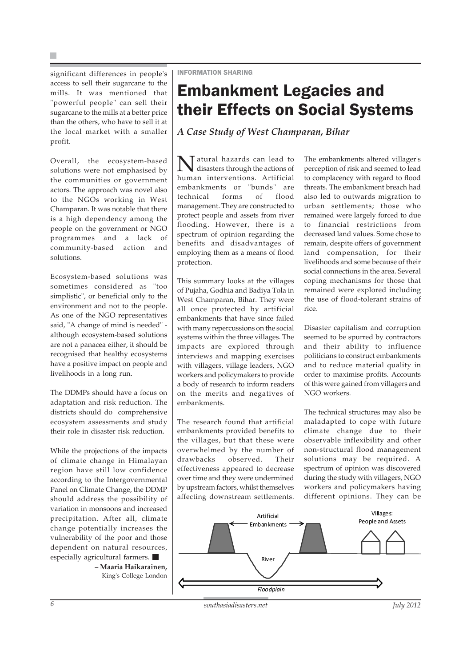significant differences in people's access to sell their sugarcane to the mills. It was mentioned that "powerful people" can sell their sugarcane to the mills at a better price than the others, who have to sell it at the local market with a smaller profit.

Overall, the ecosystem-based solutions were not emphasised by the communities or government actors. The approach was novel also to the NGOs working in West Champaran. It was notable that there is a high dependency among the people on the government or NGO programmes and a lack of community-based action and solutions.

Ecosystem-based solutions was sometimes considered as "too simplistic", or beneficial only to the environment and not to the people. As one of the NGO representatives said, "A change of mind is needed" although ecosystem-based solutions are not a panacea either, it should be recognised that healthy ecosystems have a positive impact on people and livelihoods in a long run.

The DDMPs should have a focus on adaptation and risk reduction. The districts should do comprehensive ecosystem assessments and study their role in disaster risk reduction.

While the projections of the impacts of climate change in Himalayan region have still low confidence according to the Intergovernmental Panel on Climate Change, the DDMP should address the possibility of variation in monsoons and increased precipitation. After all, climate change potentially increases the vulnerability of the poor and those dependent on natural resources, especially agricultural farmers.

**– Maaria Haikarainen,** King's College London INFORMATION SHARING

### Embankment Legacies and their Effects on Social Systems

*A Case Study of West Champaran, Bihar*

atural hazards can lead to disasters through the actions of human interventions. Artificial embankments or "bunds" are technical forms of flood management. They are constructed to protect people and assets from river flooding. However, there is a spectrum of opinion regarding the benefits and disadvantages of employing them as a means of flood protection.

This summary looks at the villages of Pujaha, Godhia and Badiya Tola in West Champaran, Bihar. They were all once protected by artificial embankments that have since failed with many repercussions on the social systems within the three villages. The impacts are explored through interviews and mapping exercises with villagers, village leaders, NGO workers and policymakers to provide a body of research to inform readers on the merits and negatives of embankments.

The research found that artificial embankments provided benefits to the villages, but that these were overwhelmed by the number of drawbacks observed. Their effectiveness appeared to decrease over time and they were undermined by upstream factors, whilst themselves affecting downstream settlements.

The embankments altered villager's perception of risk and seemed to lead to complacency with regard to flood threats. The embankment breach had also led to outwards migration to urban settlements; those who remained were largely forced to due to financial restrictions from decreased land values. Some chose to remain, despite offers of government land compensation, for their livelihoods and some because of their social connections in the area. Several coping mechanisms for those that remained were explored including the use of flood-tolerant strains of rice.

Disaster capitalism and corruption seemed to be spurred by contractors and their ability to influence politicians to construct embankments and to reduce material quality in order to maximise profits. Accounts of this were gained from villagers and NGO workers.

The technical structures may also be maladapted to cope with future climate change due to their observable inflexibility and other non-structural flood management solutions may be required. A spectrum of opinion was discovered during the study with villagers, NGO workers and policymakers having different opinions. They can be



*6 southasiadisasters.net July 2012*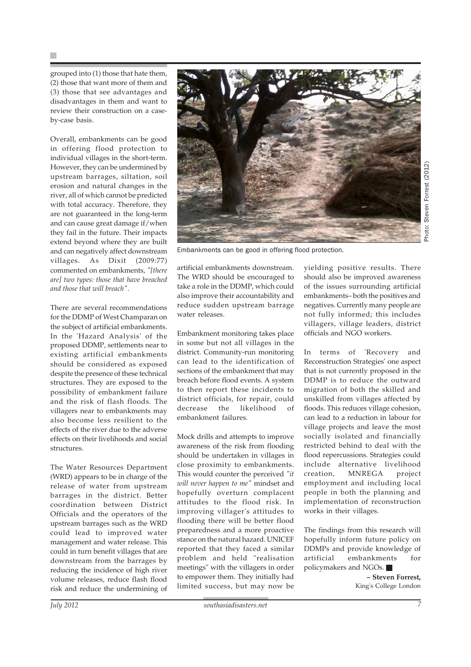grouped into (1) those that hate them, (2) those that want more of them and (3) those that see advantages and disadvantages in them and want to review their construction on a caseby-case basis.

Overall, embankments can be good in offering flood protection to individual villages in the short-term. However, they can be undermined by upstream barrages, siltation, soil erosion and natural changes in the river, all of which cannot be predicted with total accuracy. Therefore, they are not guaranteed in the long-term and can cause great damage if/when they fail in the future. Their impacts extend beyond where they are built and can negatively affect downstream villages. As Dixit (2009:77) commented on embankments, *"[there are] two types: those that have breached and those that will breach"*.

There are several recommendations for the DDMP of West Champaran on the subject of artificial embankments. In the 'Hazard Analysis' of the proposed DDMP, settlements near to existing artificial embankments should be considered as exposed despite the presence of these technical structures. They are exposed to the possibility of embankment failure and the risk of flash floods. The villagers near to embankments may also become less resilient to the effects of the river due to the adverse effects on their livelihoods and social structures.

The Water Resources Department (WRD) appears to be in charge of the release of water from upstream barrages in the district. Better coordination between District Officials and the operators of the upstream barrages such as the WRD could lead to improved water management and water release. This could in turn benefit villages that are downstream from the barrages by reducing the incidence of high river volume releases, reduce flash flood risk and reduce the undermining of



Embankments can be good in offering flood protection.

artificial embankments downstream. The WRD should be encouraged to take a role in the DDMP, which could also improve their accountability and reduce sudden upstream barrage water releases.

Embankment monitoring takes place in some but not all villages in the district. Community-run monitoring can lead to the identification of sections of the embankment that may breach before flood events. A system to then report these incidents to district officials, for repair, could decrease the likelihood of embankment failures.

Mock drills and attempts to improve awareness of the risk from flooding should be undertaken in villages in close proximity to embankments. This would counter the perceived *"it will never happen to me"* mindset and hopefully overturn complacent attitudes to the flood risk. In improving villager's attitudes to flooding there will be better flood preparedness and a more proactive stance on the natural hazard. UNICEF reported that they faced a similar problem and held "realisation meetings" with the villagers in order to empower them. They initially had limited success, but may now be

yielding positive results. There should also be improved awareness of the issues surrounding artificial embankments– both the positives and negatives. Currently many people are not fully informed; this includes villagers, village leaders, district officials and NGO workers.

In terms of 'Recovery and Reconstruction Strategies' one aspect that is not currently proposed in the DDMP is to reduce the outward migration of both the skilled and unskilled from villages affected by floods. This reduces village cohesion, can lead to a reduction in labour for village projects and leave the most socially isolated and financially restricted behind to deal with the flood repercussions. Strategies could include alternative livelihood creation, MNREGA project employment and including local people in both the planning and implementation of reconstruction works in their villages.

The findings from this research will hopefully inform future policy on DDMPs and provide knowledge of artificial embankments for policymakers and NGOs.

> **– Steven Forrest,** King's College London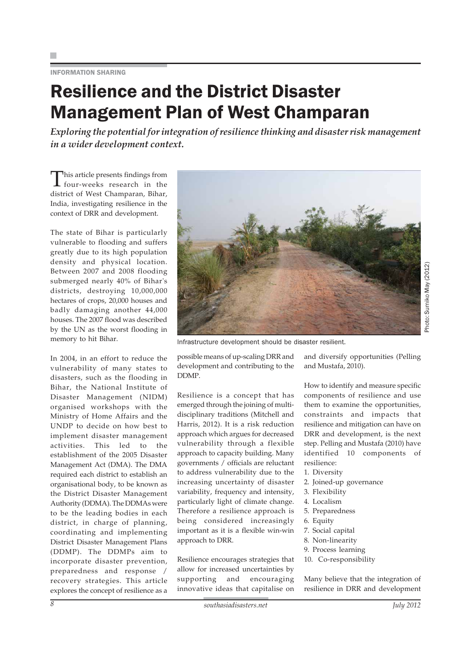INFORMATION SHARING

### Resilience and the District Disaster Management Plan of West Champaran

*Exploring the potential for integration of resilience thinking and disaster risk management in a wider development context.*

This article presents findings from<br>four-weeks research in the district of West Champaran, Bihar, India, investigating resilience in the context of DRR and development.

The state of Bihar is particularly vulnerable to flooding and suffers greatly due to its high population density and physical location. Between 2007 and 2008 flooding submerged nearly 40% of Bihar's districts, destroying 10,000,000 hectares of crops, 20,000 houses and badly damaging another 44,000 houses. The 2007 flood was described by the UN as the worst flooding in memory to hit Bihar.

In 2004, in an effort to reduce the vulnerability of many states to disasters, such as the flooding in Bihar, the National Institute of Disaster Management (NIDM) organised workshops with the Ministry of Home Affairs and the UNDP to decide on how best to implement disaster management activities. This led to the establishment of the 2005 Disaster Management Act (DMA). The DMA required each district to establish an organisational body, to be known as the District Disaster Management Authority (DDMA). The DDMAs were to be the leading bodies in each district, in charge of planning, coordinating and implementing District Disaster Management Plans (DDMP). The DDMPs aim to incorporate disaster prevention, preparedness and response / recovery strategies. This article explores the concept of resilience as a



Infrastructure development should be disaster resilient.

possible means of up-scaling DRR and development and contributing to the DDMP.

Resilience is a concept that has emerged through the joining of multidisciplinary traditions (Mitchell and Harris, 2012). It is a risk reduction approach which argues for decreased vulnerability through a flexible approach to capacity building. Many governments / officials are reluctant to address vulnerability due to the increasing uncertainty of disaster variability, frequency and intensity, particularly light of climate change. Therefore a resilience approach is being considered increasingly important as it is a flexible win-win approach to DRR.

Resilience encourages strategies that allow for increased uncertainties by supporting and encouraging innovative ideas that capitalise on

and diversify opportunities (Pelling and Mustafa, 2010).

Photo: Sumiko May (2012)

How to identify and measure specific components of resilience and use them to examine the opportunities, constraints and impacts that resilience and mitigation can have on DRR and development, is the next step. Pelling and Mustafa (2010) have identified 10 components of resilience:

- 1. Diversity
- 2. Joined-up governance
- 3. Flexibility
- 4. Localism
- 5. Preparedness
- 6. Equity
- 7. Social capital
- 8. Non-linearity
- 9. Process learning
- 10. Co-responsibility

Many believe that the integration of resilience in DRR and development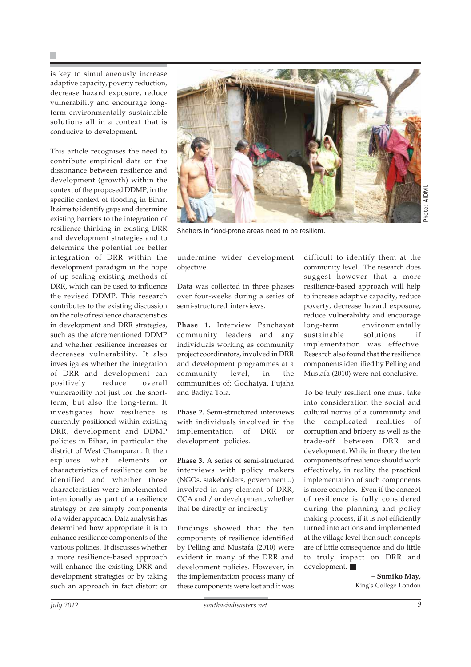is key to simultaneously increase adaptive capacity, poverty reduction, decrease hazard exposure, reduce vulnerability and encourage longterm environmentally sustainable solutions all in a context that is conducive to development.

This article recognises the need to contribute empirical data on the dissonance between resilience and development (growth) within the context of the proposed DDMP, in the specific context of flooding in Bihar. It aims to identify gaps and determine existing barriers to the integration of resilience thinking in existing DRR and development strategies and to determine the potential for better integration of DRR within the development paradigm in the hope of up-scaling existing methods of DRR, which can be used to influence the revised DDMP. This research contributes to the existing discussion on the role of resilience characteristics in development and DRR strategies, such as the aforementioned DDMP and whether resilience increases or decreases vulnerability. It also investigates whether the integration of DRR and development can positively reduce overall vulnerability not just for the shortterm, but also the long-term. It investigates how resilience is currently positioned within existing DRR, development and DDMP policies in Bihar, in particular the district of West Champaran. It then explores what elements or characteristics of resilience can be identified and whether those characteristics were implemented intentionally as part of a resilience strategy or are simply components of a wider approach. Data analysis has determined how appropriate it is to enhance resilience components of the various policies. It discusses whether a more resilience-based approach will enhance the existing DRR and development strategies or by taking such an approach in fact distort or



Shelters in flood-prone areas need to be resilient.

undermine wider development objective.

Data was collected in three phases over four-weeks during a series of semi-structured interviews.

**Phase 1.** Interview Panchayat community leaders and any individuals working as community project coordinators, involved in DRR and development programmes at a community level, in the communities of; Godhaiya, Pujaha and Badiya Tola.

**Phase 2.** Semi-structured interviews with individuals involved in the implementation of DRR development policies.

**Phase 3.** A series of semi-structured interviews with policy makers (NGOs, stakeholders, government...) involved in any element of DRR, CCA and / or development, whether that be directly or indirectly

Findings showed that the ten components of resilience identified by Pelling and Mustafa (2010) were evident in many of the DRR and development policies. However, in the implementation process many of these components were lost and it was

difficult to identify them at the community level. The research does suggest however that a more resilience-based approach will help to increase adaptive capacity, reduce poverty, decrease hazard exposure, reduce vulnerability and encourage long-term environmentally sustainable solutions if implementation was effective. Research also found that the resilience components identified by Pelling and Mustafa (2010) were not conclusive.

To be truly resilient one must take into consideration the social and cultural norms of a community and the complicated realities of corruption and bribery as well as the trade-off between DRR and development. While in theory the ten components of resilience should work effectively, in reality the practical implementation of such components is more complex. Even if the concept of resilience is fully considered during the planning and policy making process, if it is not efficiently turned into actions and implemented at the village level then such concepts are of little consequence and do little to truly impact on DRR and development.

> **– Sumiko May,** King's College London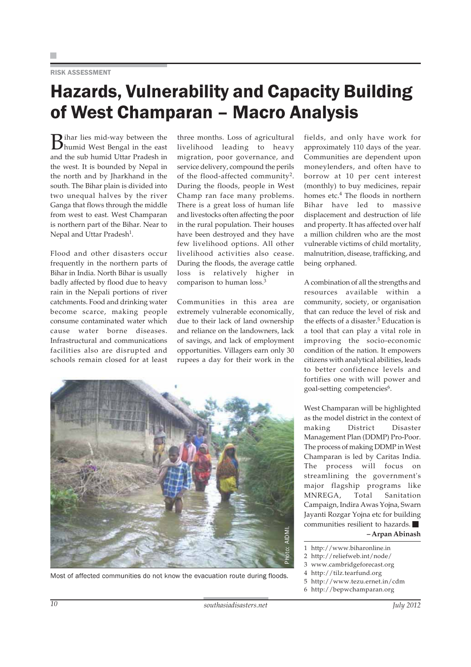#### RISK ASSESSMENT

### Hazards, Vulnerability and Capacity Building of West Champaran – Macro Analysis

Bihar lies mid-way between the humid West Bengal in the east and the sub humid Uttar Pradesh in the west. It is bounded by Nepal in the north and by Jharkhand in the south. The Bihar plain is divided into two unequal halves by the river Ganga that flows through the middle from west to east. West Champaran is northern part of the Bihar. Near to Nepal and Uttar Pradesh<sup>1</sup>.

Flood and other disasters occur frequently in the northern parts of Bihar in India. North Bihar is usually badly affected by flood due to heavy rain in the Nepali portions of river catchments. Food and drinking water become scarce, making people consume contaminated water which cause water borne diseases. Infrastructural and communications facilities also are disrupted and schools remain closed for at least

three months. Loss of agricultural livelihood leading to heavy migration, poor governance, and service delivery, compound the perils of the flood-affected community<sup>2</sup>. During the floods, people in West Champ ran face many problems. There is a great loss of human life and livestocks often affecting the poor in the rural population. Their houses have been destroyed and they have few livelihood options. All other livelihood activities also cease. During the floods, the average cattle loss is relatively higher in comparison to human loss.3

Communities in this area are extremely vulnerable economically, due to their lack of land ownership and reliance on the landowners, lack of savings, and lack of employment opportunities. Villagers earn only 30 rupees a day for their work in the



fields, and only have work for approximately 110 days of the year. Communities are dependent upon moneylenders, and often have to borrow at 10 per cent interest (monthly) to buy medicines, repair homes etc.4 The floods in northern Bihar have led to massive displacement and destruction of life and property. It has affected over half a million children who are the most vulnerable victims of child mortality, malnutrition, disease, trafficking, and being orphaned.

A combination of all the strengths and resources available within a community, society, or organisation that can reduce the level of risk and the effects of a disaster.<sup>5</sup> Education is a tool that can play a vital role in improving the socio-economic condition of the nation. It empowers citizens with analytical abilities, leads to better confidence levels and fortifies one with will power and goal-setting competencies<sup>6</sup>.

West Champaran will be highlighted as the model district in the context of making District Disaster Management Plan (DDMP) Pro-Poor. The process of making DDMP in West Champaran is led by Caritas India. The process will focus on streamlining the government's major flagship programs like MNREGA, Total Sanitation Campaign, Indira Awas Yojna, Swarn Jayanti Rozgar Yojna etc for building communities resilient to hazards. **– Arpan Abinash**

- 1 http://www.biharonline.in
- 2 http://reliefweb.int/node/
- 3 www.cambridgeforecast.org
- 4 http://tilz.tearfund.org
- 5 http://www.tezu.ernet.in/cdm
- 6 http://bepwchamparan.org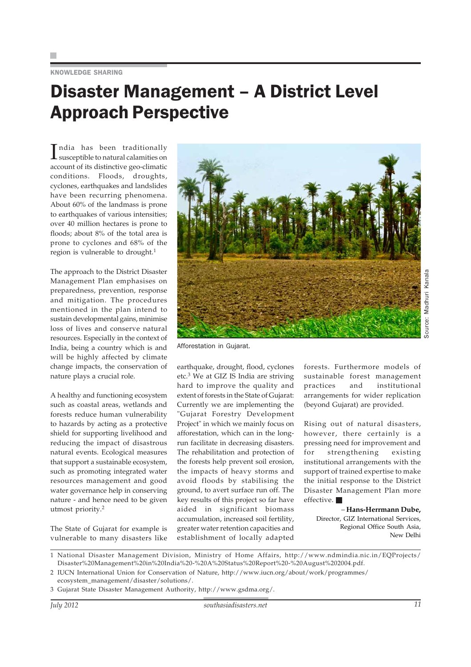#### KNOWLEDGE SHARING

### Disaster Management – A District Level Approach Perspective

India has been traditionally<br>susceptible to natural calamities on ndia has been traditionally account of its distinctive geo-climatic conditions. Floods, droughts, cyclones, earthquakes and landslides have been recurring phenomena. About 60% of the landmass is prone to earthquakes of various intensities; over 40 million hectares is prone to floods; about 8% of the total area is prone to cyclones and 68% of the region is vulnerable to drought.<sup>1</sup>

The approach to the District Disaster Management Plan emphasises on preparedness, prevention, response and mitigation. The procedures mentioned in the plan intend to sustain developmental gains, minimise loss of lives and conserve natural resources. Especially in the context of India, being a country which is and will be highly affected by climate change impacts, the conservation of nature plays a crucial role.

A healthy and functioning ecosystem such as coastal areas, wetlands and forests reduce human vulnerability to hazards by acting as a protective shield for supporting livelihood and reducing the impact of disastrous natural events. Ecological measures that support a sustainable ecosystem, such as promoting integrated water resources management and good water governance help in conserving nature - and hence need to be given utmost priority.<sup>2</sup>

The State of Gujarat for example is vulnerable to many disasters like



Afforestation in Gujarat.

earthquake, drought, flood, cyclones etc.3 We at GIZ IS India are striving hard to improve the quality and extent of forests in the State of Gujarat: Currently we are implementing the "Gujarat Forestry Development Project" in which we mainly focus on afforestation, which can in the longrun facilitate in decreasing disasters. The rehabilitation and protection of the forests help prevent soil erosion, the impacts of heavy storms and avoid floods by stabilising the ground, to avert surface run off. The key results of this project so far have aided in significant biomass accumulation, increased soil fertility, greater water retention capacities and establishment of locally adapted

forests. Furthermore models of sustainable forest management practices and institutional arrangements for wider replication (beyond Gujarat) are provided.

Rising out of natural disasters, however, there certainly is a pressing need for improvement and for strengthening existing institutional arrangements with the support of trained expertise to make the initial response to the District Disaster Management Plan more effective.

### *–* **Hans-Herrmann Dube,**

Director, GIZ International Services, Regional Office South Asia, New Delhi

3 Gujarat State Disaster Management Authority, http://www.gsdma.org/.

<sup>1</sup> National Disaster Management Division, Ministry of Home Affairs, http://www.ndmindia.nic.in/EQProjects/ Disaster%20Management%20in%20India%20-%20A%20Status%20Report%20-%20August%202004.pdf.

<sup>2</sup> IUCN International Union for Conservation of Nature, http://www.iucn.org/about/work/programmes/ ecosystem\_management/disaster/solutions/.